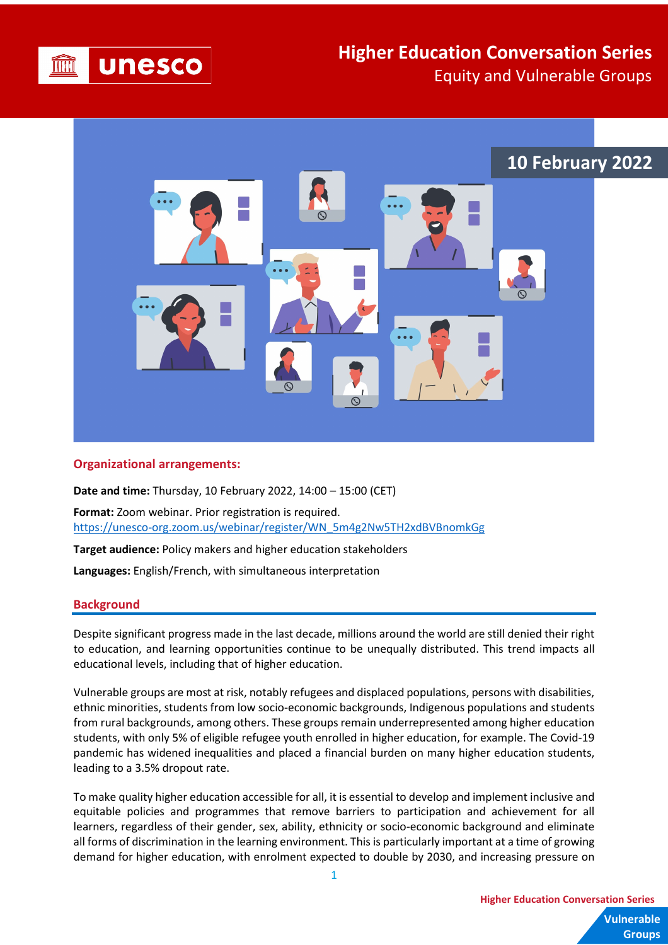

## **Higher Education Conversation Series** Equity and Vulnerable Groups



## **Organizational arrangements:**

**Date and time:** Thursday, 10 February 2022, 14:00 – 15:00 (CET)

**Format:** Zoom webinar. Prior registration is required. [https://unesco-org.zoom.us/webinar/register/WN\\_5m4g2Nw5TH2xdBVBnomkGg](https://unesco-org.zoom.us/webinar/register/WN_5m4g2Nw5TH2xdBVBnomkGg)

**Target audience:** Policy makers and higher education stakeholders

**Languages:** English/French, with simultaneous interpretation

## **Background**

Despite significant progress made in the last decade, millions around the world are still denied their right to education, and learning opportunities continue to be unequally distributed. This trend impacts all educational levels, including that of higher education.

Vulnerable groups are most at risk, notably refugees and displaced populations, persons with disabilities, ethnic minorities, students from low socio-economic backgrounds, Indigenous populations and students from rural backgrounds, among others. These groups remain underrepresented among higher education students, with only 5% of eligible refugee youth enrolled in higher education, for example. The Covid-19 pandemic has widened inequalities and placed a financial burden on many higher education students, leading to a 3.5% dropout rate.

To make quality higher education accessible for all, it is essential to develop and implement inclusive and equitable policies and programmes that remove barriers to participation and achievement for all learners, regardless of their gender, sex, ability, ethnicity or socio-economic background and eliminate all forms of discrimination in the learning environment. This is particularly important at a time of growing demand for higher education, with enrolment expected to double by 2030, and increasing pressure on

**Vulnerable Higher Education Conversation Series**

**Groups**